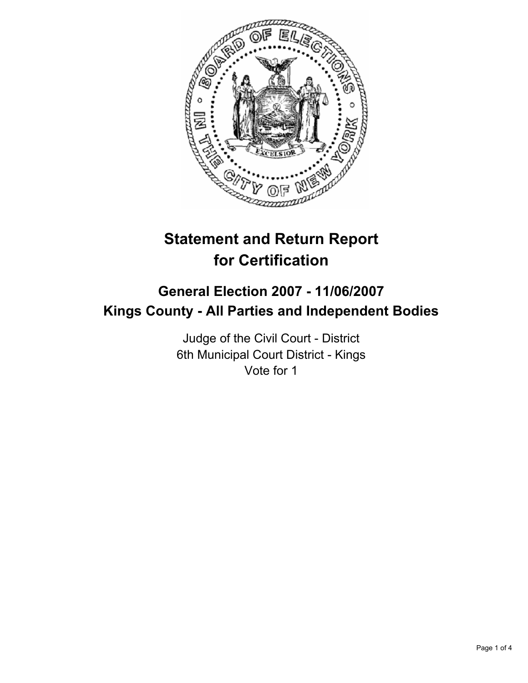

# **Statement and Return Report for Certification**

## **General Election 2007 - 11/06/2007 Kings County - All Parties and Independent Bodies**

Judge of the Civil Court - District 6th Municipal Court District - Kings Vote for 1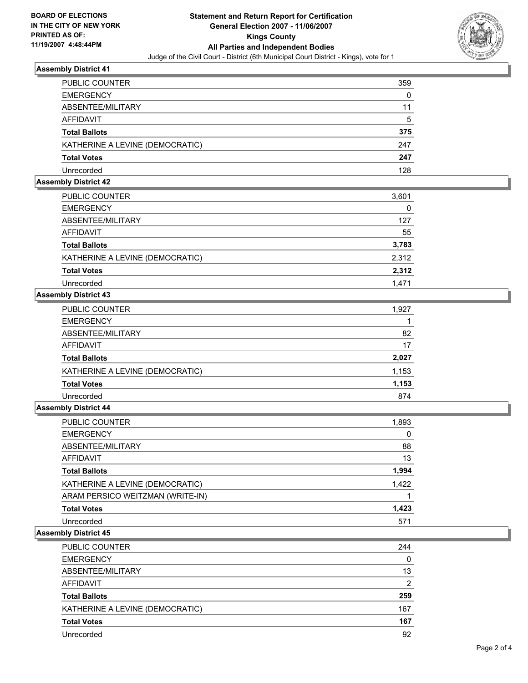

## **Assembly District 41**

| PUBLIC COUNTER                  | 359 |
|---------------------------------|-----|
| <b>EMERGENCY</b>                | 0   |
| ABSENTEE/MILITARY               |     |
| <b>AFFIDAVIT</b>                | 5   |
| <b>Total Ballots</b>            | 375 |
| KATHERINE A LEVINE (DEMOCRATIC) | 247 |
| <b>Total Votes</b>              | 247 |
| Unrecorded                      | 128 |

## **Assembly District 42**

| <b>PUBLIC COUNTER</b>           | 3,601 |
|---------------------------------|-------|
| <b>EMERGENCY</b>                | 0     |
| ABSENTEE/MILITARY               | 127   |
| AFFIDAVIT                       | 55    |
| <b>Total Ballots</b>            | 3,783 |
| KATHERINE A LEVINE (DEMOCRATIC) | 2,312 |
| <b>Total Votes</b>              | 2,312 |
| Unrecorded                      | 1.471 |

## **Assembly District 43**

| <b>PUBLIC COUNTER</b>           | 1,927 |
|---------------------------------|-------|
| <b>EMERGENCY</b>                |       |
| ABSENTEE/MILITARY               | 82    |
| AFFIDAVIT                       | 17    |
| <b>Total Ballots</b>            | 2,027 |
| KATHERINE A LEVINE (DEMOCRATIC) | 1,153 |
| <b>Total Votes</b>              | 1,153 |
| Unrecorded                      | 874   |

## **Assembly District 44**

| PUBLIC COUNTER                   | 1,893 |
|----------------------------------|-------|
| <b>EMERGENCY</b>                 | 0     |
| ABSENTEE/MILITARY                | 88    |
| AFFIDAVIT                        | 13    |
| <b>Total Ballots</b>             | 1,994 |
| KATHERINE A LEVINE (DEMOCRATIC)  | 1,422 |
| ARAM PERSICO WEITZMAN (WRITE-IN) |       |
| <b>Total Votes</b>               | 1,423 |
| Unrecorded                       | 571   |

#### **Assembly District 45**

| PUBLIC COUNTER                  | 244 |
|---------------------------------|-----|
| <b>EMERGENCY</b>                | 0   |
| ABSENTEE/MILITARY               | 13  |
| AFFIDAVIT                       | 2   |
| <b>Total Ballots</b>            | 259 |
| KATHERINE A LEVINE (DEMOCRATIC) | 167 |
| <b>Total Votes</b>              | 167 |
| Unrecorded                      | 92  |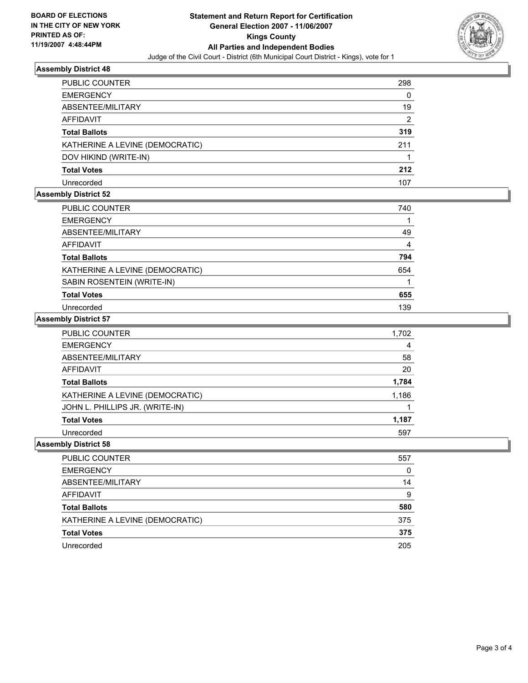

## **Assembly District 48**

| PUBLIC COUNTER                  | 298 |
|---------------------------------|-----|
| <b>EMERGENCY</b>                | 0   |
| ABSENTEE/MILITARY               | 19  |
| AFFIDAVIT                       | 2   |
| <b>Total Ballots</b>            | 319 |
| KATHERINE A LEVINE (DEMOCRATIC) | 211 |
| DOV HIKIND (WRITE-IN)           |     |
| <b>Total Votes</b>              | 212 |
| Unrecorded                      | 107 |

## **Assembly District 52**

| PUBLIC COUNTER                  | 740 |
|---------------------------------|-----|
| <b>EMERGENCY</b>                |     |
| ABSENTEE/MILITARY               | 49  |
| <b>AFFIDAVIT</b>                | 4   |
| <b>Total Ballots</b>            | 794 |
| KATHERINE A LEVINE (DEMOCRATIC) | 654 |
| SABIN ROSENTEIN (WRITE-IN)      |     |
| <b>Total Votes</b>              | 655 |
| Unrecorded                      | 139 |

#### **Assembly District 57**

| <b>PUBLIC COUNTER</b>           | 1,702 |
|---------------------------------|-------|
| <b>EMERGENCY</b>                |       |
| ABSENTEE/MILITARY               | 58    |
| <b>AFFIDAVIT</b>                | 20    |
| <b>Total Ballots</b>            | 1,784 |
| KATHERINE A LEVINE (DEMOCRATIC) | 1,186 |
| JOHN L. PHILLIPS JR. (WRITE-IN) |       |
| <b>Total Votes</b>              | 1,187 |
| Unrecorded                      | 597   |

## **Assembly District 58**

| PUBLIC COUNTER                  | 557 |
|---------------------------------|-----|
| <b>EMERGENCY</b>                | 0   |
| ABSENTEE/MILITARY               | 14  |
| AFFIDAVIT                       | 9   |
| <b>Total Ballots</b>            | 580 |
| KATHERINE A LEVINE (DEMOCRATIC) | 375 |
| <b>Total Votes</b>              | 375 |
| Unrecorded                      | 205 |